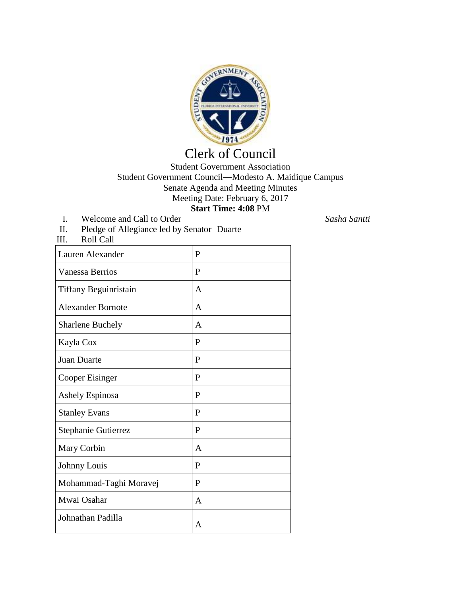

## Clerk of Council

## Student Government Association Student Government Council—Modesto A. Maidique Campus Senate Agenda and Meeting Minutes Meeting Date: February 6, 2017 **Start Time: 4:08** PM

- I. Welcome and Call to Order *Sasha Santti*
	-

 $\overline{\mathbf{1}}$ 

II. Pledge of Allegiance led by Senator Duarte

| III. | <b>Roll Call</b> |  |
|------|------------------|--|
|      |                  |  |

| Lauren Alexander         | P              |
|--------------------------|----------------|
| <b>Vanessa Berrios</b>   | P              |
| Tiffany Beguinristain    | A              |
| <b>Alexander Bornote</b> | A              |
| <b>Sharlene Buchely</b>  | A              |
| Kayla Cox                | P              |
| Juan Duarte              | P              |
| Cooper Eisinger          | P              |
| Ashely Espinosa          | P              |
| <b>Stanley Evans</b>     | P              |
| Stephanie Gutierrez      | P              |
| Mary Corbin              | $\overline{A}$ |
| Johnny Louis             | $\mathbf{P}$   |
| Mohammad-Taghi Moravej   | P              |
| Mwai Osahar              | $\mathbf{A}$   |
| Johnathan Padilla        | A              |

 $\top$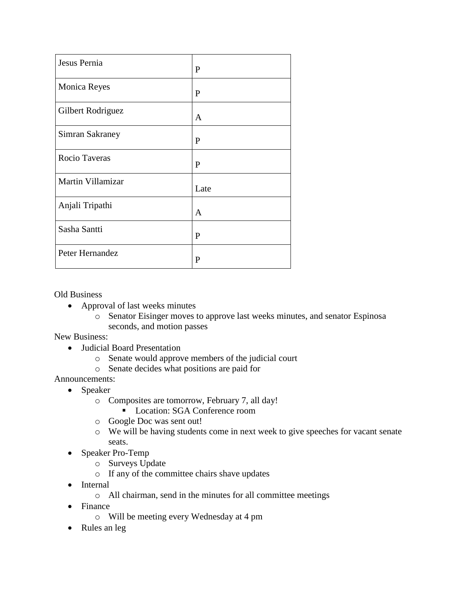| Jesus Pernia           | $\mathbf{P}$ |
|------------------------|--------------|
| <b>Monica Reyes</b>    | $\mathbf{P}$ |
| Gilbert Rodriguez      | A            |
| <b>Simran Sakraney</b> | P            |
| Rocio Taveras          | P            |
| Martin Villamizar      | Late         |
| Anjali Tripathi        | A            |
| Sasha Santti           | $\mathbf{P}$ |
| Peter Hernandez        | $\mathbf{P}$ |

## Old Business

- Approval of last weeks minutes
	- o Senator Eisinger moves to approve last weeks minutes, and senator Espinosa seconds, and motion passes

New Business:

- Judicial Board Presentation
	- o Senate would approve members of the judicial court
	- o Senate decides what positions are paid for

Announcements:

- Speaker
	- o Composites are tomorrow, February 7, all day!
		- **Location: SGA Conference room**
	- o Google Doc was sent out!
	- o We will be having students come in next week to give speeches for vacant senate seats.
- Speaker Pro-Temp
	- o Surveys Update
	- o If any of the committee chairs shave updates
- Internal
	- o All chairman, send in the minutes for all committee meetings
- Finance
	- o Will be meeting every Wednesday at 4 pm
- Rules an leg